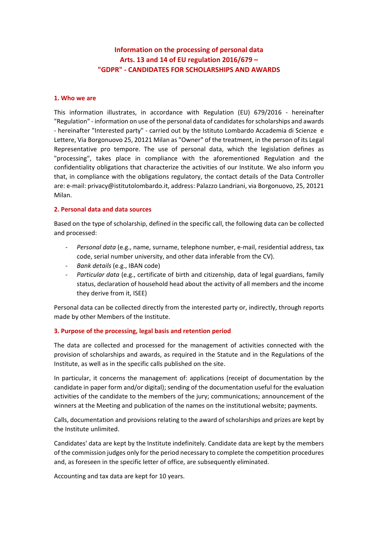# **Information on the processing of personal data Arts. 13 and 14 of EU regulation 2016/679 – "GDPR" - CANDIDATES FOR SCHOLARSHIPS AND AWARDS**

### **1. Who we are**

This information illustrates, in accordance with Regulation (EU) 679/2016 - hereinafter "Regulation" - information on use of the personal data of candidates for scholarships and awards - hereinafter "Interested party" - carried out by the Istituto Lombardo Accademia di Scienze e Lettere, Via Borgonuovo 25, 20121 Milan as "Owner" of the treatment, in the person of its Legal Representative pro tempore. The use of personal data, which the legislation defines as "processing", takes place in compliance with the aforementioned Regulation and the confidentiality obligations that characterize the activities of our Institute. We also inform you that, in compliance with the obligations regulatory, the contact details of the Data Controller are: e-mail: privacy@istitutolombardo.it, address: Palazzo Landriani, via Borgonuovo, 25, 20121 Milan.

#### **2. Personal data and data sources**

Based on the type of scholarship, defined in the specific call, the following data can be collected and processed:

- *- Personal data* (e.g., name, surname, telephone number, e-mail, residential address, tax code, serial number university, and other data inferable from the CV).
- *- Bank details* (e.g., IBAN code)
- *- Particular data* (e.g., certificate of birth and citizenship, data of legal guardians, family status, declaration of household head about the activity of all members and the income they derive from it, ISEE)

Personal data can be collected directly from the interested party or, indirectly, through reports made by other Members of the Institute.

# **3. Purpose of the processing, legal basis and retention period**

The data are collected and processed for the management of activities connected with the provision of scholarships and awards, as required in the Statute and in the Regulations of the Institute, as well as in the specific calls published on the site.

In particular, it concerns the management of: applications (receipt of documentation by the candidate in paper form and/or digital); sending of the documentation useful for the evaluation activities of the candidate to the members of the jury; communications; announcement of the winners at the Meeting and publication of the names on the institutional website; payments.

Calls, documentation and provisions relating to the award of scholarships and prizes are kept by the Institute unlimited.

Candidates' data are kept by the Institute indefinitely. Candidate data are kept by the members of the commission judges only for the period necessary to complete the competition procedures and, as foreseen in the specific letter of office, are subsequently eliminated.

Accounting and tax data are kept for 10 years.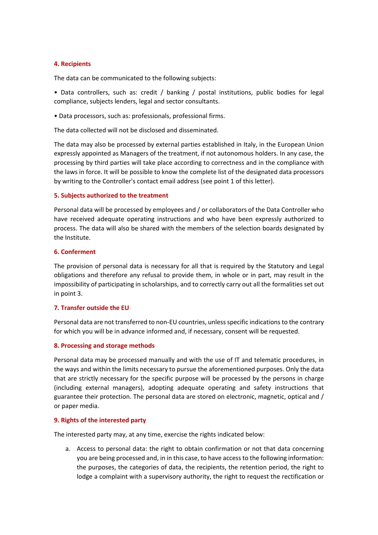### **4. Recipients**

The data can be communicated to the following subjects:

• Data controllers, such as: credit / banking / postal institutions, public bodies for legal compliance, subjects lenders, legal and sector consultants.

• Data processors, such as: professionals, professional firms.

The data collected will not be disclosed and disseminated.

The data may also be processed by external parties established in Italy, in the European Union expressly appointed as Managers of the treatment, if not autonomous holders. In any case, the processing by third parties will take place according to correctness and in the compliance with the laws in force. It will be possible to know the complete list of the designated data processors by writing to the Controller's contact email address (see point 1 of this letter).

#### **5. Subjects authorized to the treatment**

Personal data will be processed by employees and / or collaborators of the Data Controller who have received adequate operating instructions and who have been expressly authorized to process. The data will also be shared with the members of the selection boards designated by the Institute.

#### **6. Conferment**

The provision of personal data is necessary for all that is required by the Statutory and Legal obligations and therefore any refusal to provide them, in whole or in part, may result in the impossibility of participating in scholarships, and to correctly carry out all the formalities set out in point 3.

# **7. Transfer outside the EU**

Personal data are not transferred to non-EU countries, unless specific indications to the contrary for which you will be in advance informed and, if necessary, consent will be requested.

#### **8. Processing and storage methods**

Personal data may be processed manually and with the use of IT and telematic procedures, in the ways and within the limits necessary to pursue the aforementioned purposes. Only the data that are strictly necessary for the specific purpose will be processed by the persons in charge (including external managers), adopting adequate operating and safety instructions that guarantee their protection. The personal data are stored on electronic, magnetic, optical and / or paper media.

# **9. Rights of the interested party**

The interested party may, at any time, exercise the rights indicated below:

a. Access to personal data: the right to obtain confirmation or not that data concerning you are being processed and, in in this case, to have access to the following information: the purposes, the categories of data, the recipients, the retention period, the right to lodge a complaint with a supervisory authority, the right to request the rectification or